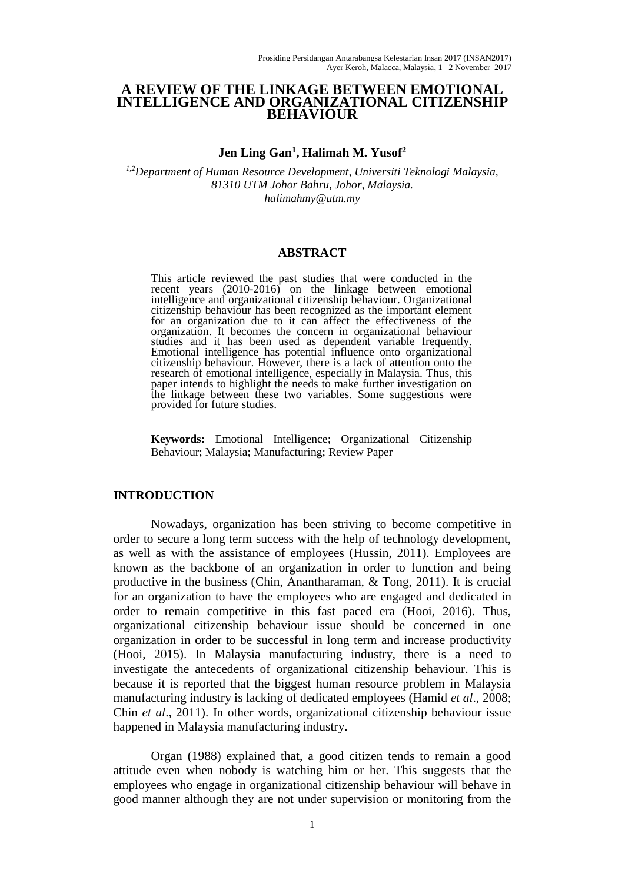### **A REVIEW OF THE LINKAGE BETWEEN EMOTIONAL INTELLIGENCE AND ORGANIZATIONAL CITIZENSHIP BEHAVIOUR**

## **Jen Ling Gan<sup>1</sup> , Halimah M. Yusof<sup>2</sup>**

*1,2Department of Human Resource Development, Universiti Teknologi Malaysia, 81310 UTM Johor Bahru, Johor, Malaysia. halimahmy@utm.my*

#### **ABSTRACT**

This article reviewed the past studies that were conducted in the recent years (2010-2016) on the linkage between emotional intelligence and organizational citizenship behaviour. Organizational citizenship behaviour has been recognized as the important element for an organization due to it can affect the effectiveness of the organization. It becomes the concern in organizational behaviour studies and it has been used as dependent variable frequently. Emotional intelligence has potential influence onto organizational citizenship behaviour. However, there is a lack of attention onto the research of emotional intelligence, especially in Malaysia. Thus, this paper intends to highlight the needs to make further investigation on the linkage between these two variables. Some suggestions were provided for future studies.

**Keywords:** Emotional Intelligence; Organizational Citizenship Behaviour; Malaysia; Manufacturing; Review Paper

#### **INTRODUCTION**

Nowadays, organization has been striving to become competitive in order to secure a long term success with the help of technology development, as well as with the assistance of employees (Hussin, 2011). Employees are known as the backbone of an organization in order to function and being productive in the business (Chin, Anantharaman, & Tong, 2011). It is crucial for an organization to have the employees who are engaged and dedicated in order to remain competitive in this fast paced era (Hooi, 2016). Thus, organizational citizenship behaviour issue should be concerned in one organization in order to be successful in long term and increase productivity (Hooi, 2015). In Malaysia manufacturing industry, there is a need to investigate the antecedents of organizational citizenship behaviour. This is because it is reported that the biggest human resource problem in Malaysia manufacturing industry is lacking of dedicated employees (Hamid *et al*., 2008; Chin *et al*., 2011). In other words, organizational citizenship behaviour issue happened in Malaysia manufacturing industry.

Organ (1988) explained that, a good citizen tends to remain a good attitude even when nobody is watching him or her. This suggests that the employees who engage in organizational citizenship behaviour will behave in good manner although they are not under supervision or monitoring from the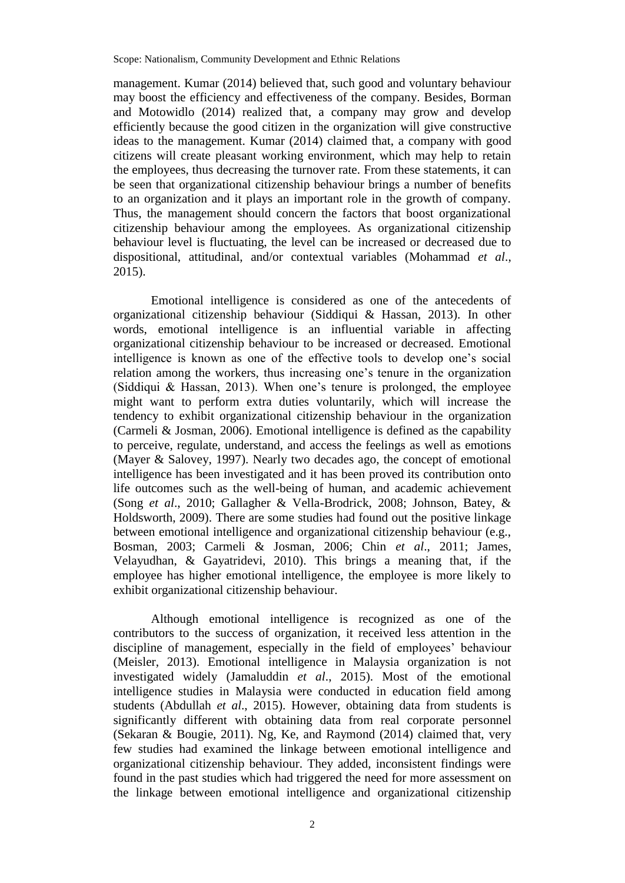management. Kumar (2014) believed that, such good and voluntary behaviour may boost the efficiency and effectiveness of the company. Besides, Borman and Motowidlo (2014) realized that, a company may grow and develop efficiently because the good citizen in the organization will give constructive ideas to the management. Kumar (2014) claimed that, a company with good citizens will create pleasant working environment, which may help to retain the employees, thus decreasing the turnover rate. From these statements, it can be seen that organizational citizenship behaviour brings a number of benefits to an organization and it plays an important role in the growth of company. Thus, the management should concern the factors that boost organizational citizenship behaviour among the employees. As organizational citizenship behaviour level is fluctuating, the level can be increased or decreased due to dispositional, attitudinal, and/or contextual variables (Mohammad *et al*., 2015).

Emotional intelligence is considered as one of the antecedents of organizational citizenship behaviour (Siddiqui & Hassan, 2013). In other words, emotional intelligence is an influential variable in affecting organizational citizenship behaviour to be increased or decreased. Emotional intelligence is known as one of the effective tools to develop one's social relation among the workers, thus increasing one's tenure in the organization (Siddiqui & Hassan, 2013). When one's tenure is prolonged, the employee might want to perform extra duties voluntarily, which will increase the tendency to exhibit organizational citizenship behaviour in the organization (Carmeli & Josman, 2006). Emotional intelligence is defined as the capability to perceive, regulate, understand, and access the feelings as well as emotions (Mayer & Salovey, 1997). Nearly two decades ago, the concept of emotional intelligence has been investigated and it has been proved its contribution onto life outcomes such as the well-being of human, and academic achievement (Song *et al*., 2010; Gallagher & Vella-Brodrick, 2008; Johnson, Batey, & Holdsworth, 2009). There are some studies had found out the positive linkage between emotional intelligence and organizational citizenship behaviour (e.g., Bosman, 2003; Carmeli & Josman, 2006; Chin *et al*., 2011; James, Velayudhan, & Gayatridevi, 2010). This brings a meaning that, if the employee has higher emotional intelligence, the employee is more likely to exhibit organizational citizenship behaviour.

Although emotional intelligence is recognized as one of the contributors to the success of organization, it received less attention in the discipline of management, especially in the field of employees' behaviour (Meisler, 2013). Emotional intelligence in Malaysia organization is not investigated widely (Jamaluddin *et al*., 2015). Most of the emotional intelligence studies in Malaysia were conducted in education field among students (Abdullah *et al*., 2015). However, obtaining data from students is significantly different with obtaining data from real corporate personnel (Sekaran & Bougie, 2011). Ng, Ke, and Raymond (2014) claimed that, very few studies had examined the linkage between emotional intelligence and organizational citizenship behaviour. They added, inconsistent findings were found in the past studies which had triggered the need for more assessment on the linkage between emotional intelligence and organizational citizenship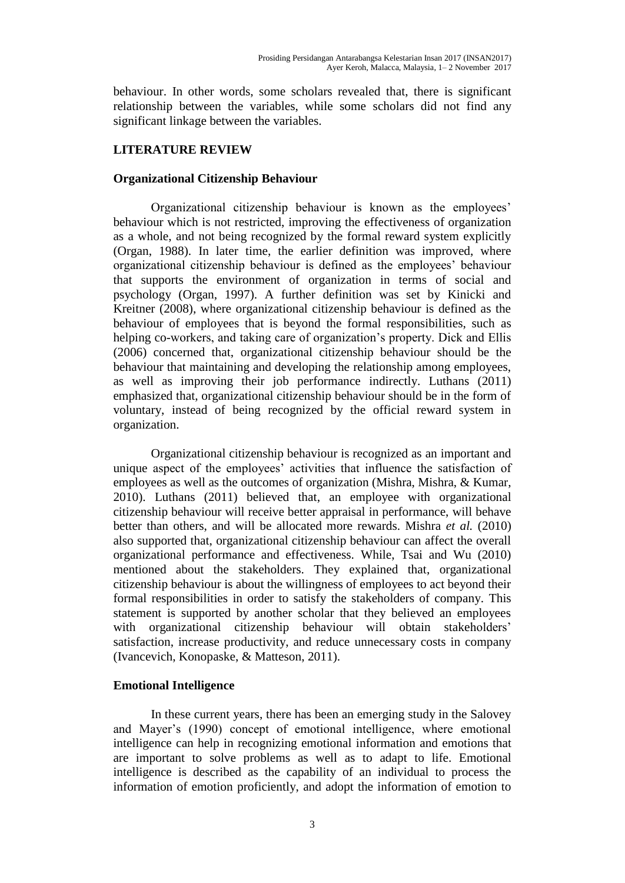behaviour. In other words, some scholars revealed that, there is significant relationship between the variables, while some scholars did not find any significant linkage between the variables.

# **LITERATURE REVIEW**

## **Organizational Citizenship Behaviour**

Organizational citizenship behaviour is known as the employees' behaviour which is not restricted, improving the effectiveness of organization as a whole, and not being recognized by the formal reward system explicitly (Organ, 1988). In later time, the earlier definition was improved, where organizational citizenship behaviour is defined as the employees' behaviour that supports the environment of organization in terms of social and psychology (Organ, 1997). A further definition was set by Kinicki and Kreitner (2008), where organizational citizenship behaviour is defined as the behaviour of employees that is beyond the formal responsibilities, such as helping co-workers, and taking care of organization's property. Dick and Ellis (2006) concerned that, organizational citizenship behaviour should be the behaviour that maintaining and developing the relationship among employees, as well as improving their job performance indirectly. Luthans (2011) emphasized that, organizational citizenship behaviour should be in the form of voluntary, instead of being recognized by the official reward system in organization.

Organizational citizenship behaviour is recognized as an important and unique aspect of the employees' activities that influence the satisfaction of employees as well as the outcomes of organization (Mishra, Mishra, & Kumar, 2010). Luthans (2011) believed that, an employee with organizational citizenship behaviour will receive better appraisal in performance, will behave better than others, and will be allocated more rewards. Mishra *et al.* (2010) also supported that, organizational citizenship behaviour can affect the overall organizational performance and effectiveness. While, Tsai and Wu (2010) mentioned about the stakeholders. They explained that, organizational citizenship behaviour is about the willingness of employees to act beyond their formal responsibilities in order to satisfy the stakeholders of company. This statement is supported by another scholar that they believed an employees with organizational citizenship behaviour will obtain stakeholders' satisfaction, increase productivity, and reduce unnecessary costs in company (Ivancevich, Konopaske, & Matteson, 2011).

## **Emotional Intelligence**

In these current years, there has been an emerging study in the Salovey and Mayer's (1990) concept of emotional intelligence, where emotional intelligence can help in recognizing emotional information and emotions that are important to solve problems as well as to adapt to life. Emotional intelligence is described as the capability of an individual to process the information of emotion proficiently, and adopt the information of emotion to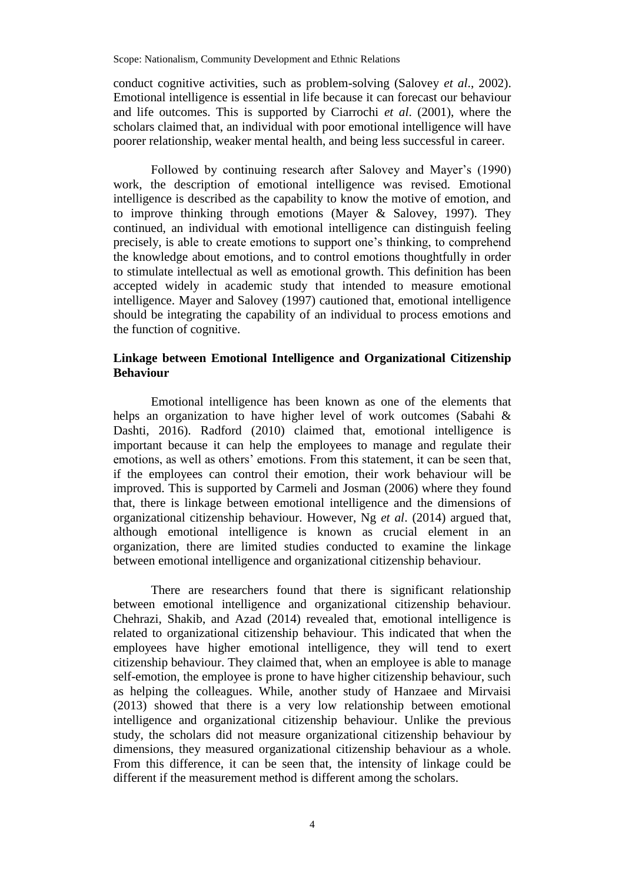conduct cognitive activities, such as problem-solving (Salovey *et al*., 2002). Emotional intelligence is essential in life because it can forecast our behaviour and life outcomes. This is supported by Ciarrochi *et al*. (2001), where the scholars claimed that, an individual with poor emotional intelligence will have poorer relationship, weaker mental health, and being less successful in career.

Followed by continuing research after Salovey and Mayer's (1990) work, the description of emotional intelligence was revised. Emotional intelligence is described as the capability to know the motive of emotion, and to improve thinking through emotions (Mayer & Salovey, 1997). They continued, an individual with emotional intelligence can distinguish feeling precisely, is able to create emotions to support one's thinking, to comprehend the knowledge about emotions, and to control emotions thoughtfully in order to stimulate intellectual as well as emotional growth. This definition has been accepted widely in academic study that intended to measure emotional intelligence. Mayer and Salovey (1997) cautioned that, emotional intelligence should be integrating the capability of an individual to process emotions and the function of cognitive.

## **Linkage between Emotional Intelligence and Organizational Citizenship Behaviour**

Emotional intelligence has been known as one of the elements that helps an organization to have higher level of work outcomes (Sabahi & Dashti, 2016). Radford (2010) claimed that, emotional intelligence is important because it can help the employees to manage and regulate their emotions, as well as others' emotions. From this statement, it can be seen that, if the employees can control their emotion, their work behaviour will be improved. This is supported by Carmeli and Josman (2006) where they found that, there is linkage between emotional intelligence and the dimensions of organizational citizenship behaviour. However, Ng *et al*. (2014) argued that, although emotional intelligence is known as crucial element in an organization, there are limited studies conducted to examine the linkage between emotional intelligence and organizational citizenship behaviour.

There are researchers found that there is significant relationship between emotional intelligence and organizational citizenship behaviour. Chehrazi, Shakib, and Azad (2014) revealed that, emotional intelligence is related to organizational citizenship behaviour. This indicated that when the employees have higher emotional intelligence, they will tend to exert citizenship behaviour. They claimed that, when an employee is able to manage self-emotion, the employee is prone to have higher citizenship behaviour, such as helping the colleagues. While, another study of Hanzaee and Mirvaisi (2013) showed that there is a very low relationship between emotional intelligence and organizational citizenship behaviour. Unlike the previous study, the scholars did not measure organizational citizenship behaviour by dimensions, they measured organizational citizenship behaviour as a whole. From this difference, it can be seen that, the intensity of linkage could be different if the measurement method is different among the scholars.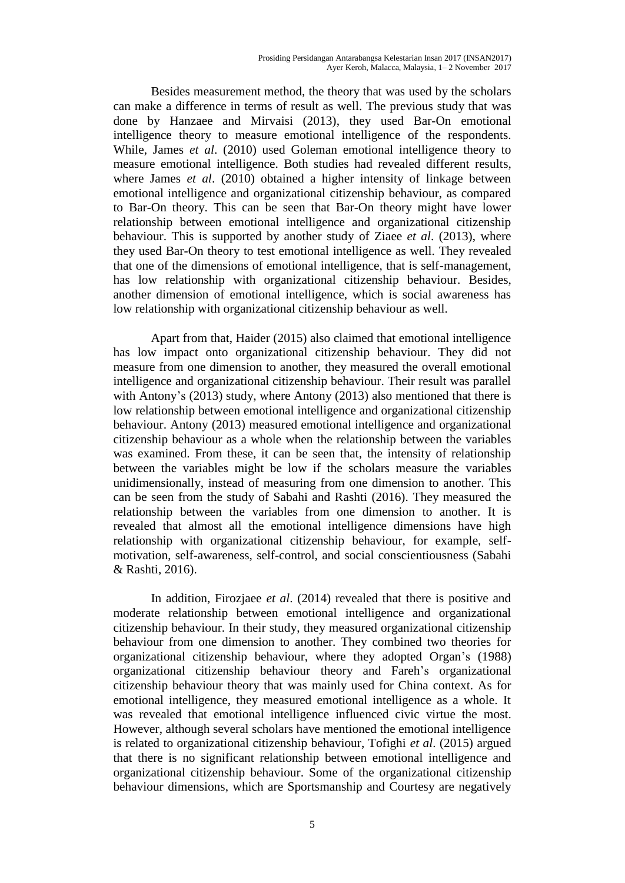Besides measurement method, the theory that was used by the scholars can make a difference in terms of result as well. The previous study that was done by Hanzaee and Mirvaisi (2013), they used Bar-On emotional intelligence theory to measure emotional intelligence of the respondents. While, James *et al*. (2010) used Goleman emotional intelligence theory to measure emotional intelligence. Both studies had revealed different results, where James *et al*. (2010) obtained a higher intensity of linkage between emotional intelligence and organizational citizenship behaviour, as compared to Bar-On theory. This can be seen that Bar-On theory might have lower relationship between emotional intelligence and organizational citizenship behaviour. This is supported by another study of Ziaee *et al*. (2013), where they used Bar-On theory to test emotional intelligence as well. They revealed that one of the dimensions of emotional intelligence, that is self-management, has low relationship with organizational citizenship behaviour. Besides, another dimension of emotional intelligence, which is social awareness has low relationship with organizational citizenship behaviour as well.

Apart from that, Haider (2015) also claimed that emotional intelligence has low impact onto organizational citizenship behaviour. They did not measure from one dimension to another, they measured the overall emotional intelligence and organizational citizenship behaviour. Their result was parallel with Antony's (2013) study, where Antony (2013) also mentioned that there is low relationship between emotional intelligence and organizational citizenship behaviour. Antony (2013) measured emotional intelligence and organizational citizenship behaviour as a whole when the relationship between the variables was examined. From these, it can be seen that, the intensity of relationship between the variables might be low if the scholars measure the variables unidimensionally, instead of measuring from one dimension to another. This can be seen from the study of Sabahi and Rashti (2016). They measured the relationship between the variables from one dimension to another. It is revealed that almost all the emotional intelligence dimensions have high relationship with organizational citizenship behaviour, for example, selfmotivation, self-awareness, self-control, and social conscientiousness (Sabahi & Rashti, 2016).

In addition, Firozjaee *et al*. (2014) revealed that there is positive and moderate relationship between emotional intelligence and organizational citizenship behaviour. In their study, they measured organizational citizenship behaviour from one dimension to another. They combined two theories for organizational citizenship behaviour, where they adopted Organ's (1988) organizational citizenship behaviour theory and Fareh's organizational citizenship behaviour theory that was mainly used for China context. As for emotional intelligence, they measured emotional intelligence as a whole. It was revealed that emotional intelligence influenced civic virtue the most. However, although several scholars have mentioned the emotional intelligence is related to organizational citizenship behaviour, Tofighi *et al*. (2015) argued that there is no significant relationship between emotional intelligence and organizational citizenship behaviour. Some of the organizational citizenship behaviour dimensions, which are Sportsmanship and Courtesy are negatively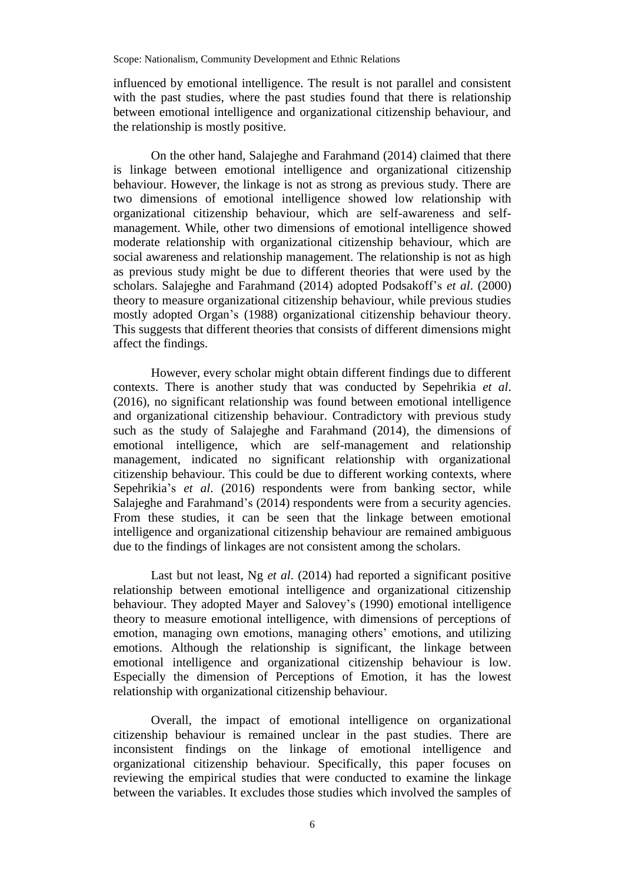influenced by emotional intelligence. The result is not parallel and consistent with the past studies, where the past studies found that there is relationship between emotional intelligence and organizational citizenship behaviour, and the relationship is mostly positive.

On the other hand, Salajeghe and Farahmand (2014) claimed that there is linkage between emotional intelligence and organizational citizenship behaviour. However, the linkage is not as strong as previous study. There are two dimensions of emotional intelligence showed low relationship with organizational citizenship behaviour, which are self-awareness and selfmanagement. While, other two dimensions of emotional intelligence showed moderate relationship with organizational citizenship behaviour, which are social awareness and relationship management. The relationship is not as high as previous study might be due to different theories that were used by the scholars. Salajeghe and Farahmand (2014) adopted Podsakoff's *et al*. (2000) theory to measure organizational citizenship behaviour, while previous studies mostly adopted Organ's (1988) organizational citizenship behaviour theory. This suggests that different theories that consists of different dimensions might affect the findings.

However, every scholar might obtain different findings due to different contexts. There is another study that was conducted by Sepehrikia *et al*. (2016), no significant relationship was found between emotional intelligence and organizational citizenship behaviour. Contradictory with previous study such as the study of Salajeghe and Farahmand (2014), the dimensions of emotional intelligence, which are self-management and relationship management, indicated no significant relationship with organizational citizenship behaviour. This could be due to different working contexts, where Sepehrikia's *et al*. (2016) respondents were from banking sector, while Salajeghe and Farahmand's (2014) respondents were from a security agencies. From these studies, it can be seen that the linkage between emotional intelligence and organizational citizenship behaviour are remained ambiguous due to the findings of linkages are not consistent among the scholars.

Last but not least, Ng *et al*. (2014) had reported a significant positive relationship between emotional intelligence and organizational citizenship behaviour. They adopted Mayer and Salovey's (1990) emotional intelligence theory to measure emotional intelligence, with dimensions of perceptions of emotion, managing own emotions, managing others' emotions, and utilizing emotions. Although the relationship is significant, the linkage between emotional intelligence and organizational citizenship behaviour is low. Especially the dimension of Perceptions of Emotion, it has the lowest relationship with organizational citizenship behaviour.

Overall, the impact of emotional intelligence on organizational citizenship behaviour is remained unclear in the past studies. There are inconsistent findings on the linkage of emotional intelligence and organizational citizenship behaviour. Specifically, this paper focuses on reviewing the empirical studies that were conducted to examine the linkage between the variables. It excludes those studies which involved the samples of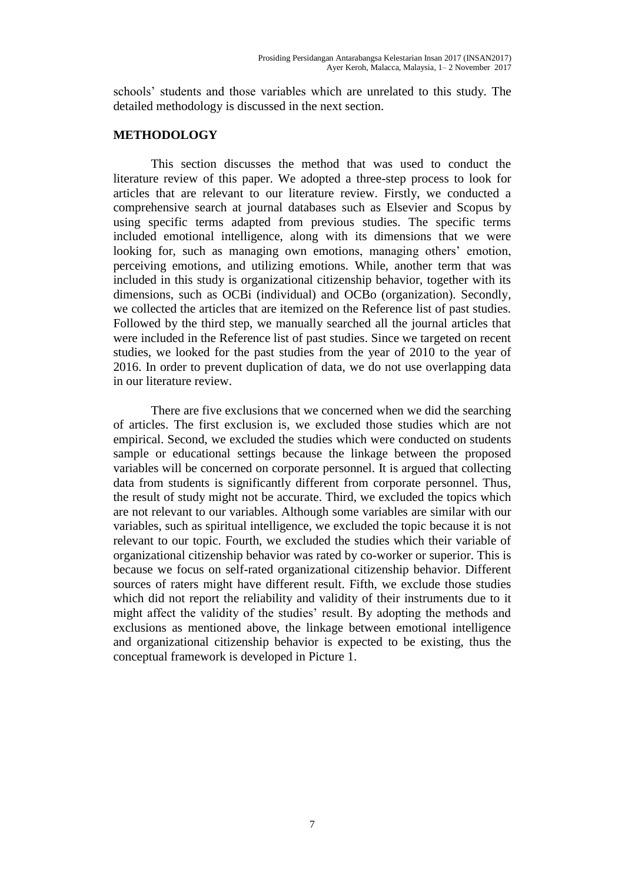schools' students and those variables which are unrelated to this study. The detailed methodology is discussed in the next section.

## **METHODOLOGY**

This section discusses the method that was used to conduct the literature review of this paper. We adopted a three-step process to look for articles that are relevant to our literature review. Firstly, we conducted a comprehensive search at journal databases such as Elsevier and Scopus by using specific terms adapted from previous studies. The specific terms included emotional intelligence, along with its dimensions that we were looking for, such as managing own emotions, managing others' emotion, perceiving emotions, and utilizing emotions. While, another term that was included in this study is organizational citizenship behavior, together with its dimensions, such as OCBi (individual) and OCBo (organization). Secondly, we collected the articles that are itemized on the Reference list of past studies. Followed by the third step, we manually searched all the journal articles that were included in the Reference list of past studies. Since we targeted on recent studies, we looked for the past studies from the year of 2010 to the year of 2016. In order to prevent duplication of data, we do not use overlapping data in our literature review.

There are five exclusions that we concerned when we did the searching of articles. The first exclusion is, we excluded those studies which are not empirical. Second, we excluded the studies which were conducted on students sample or educational settings because the linkage between the proposed variables will be concerned on corporate personnel. It is argued that collecting data from students is significantly different from corporate personnel. Thus, the result of study might not be accurate. Third, we excluded the topics which are not relevant to our variables. Although some variables are similar with our variables, such as spiritual intelligence, we excluded the topic because it is not relevant to our topic. Fourth, we excluded the studies which their variable of organizational citizenship behavior was rated by co-worker or superior. This is because we focus on self-rated organizational citizenship behavior. Different sources of raters might have different result. Fifth, we exclude those studies which did not report the reliability and validity of their instruments due to it might affect the validity of the studies' result. By adopting the methods and exclusions as mentioned above, the linkage between emotional intelligence and organizational citizenship behavior is expected to be existing, thus the conceptual framework is developed in Picture 1.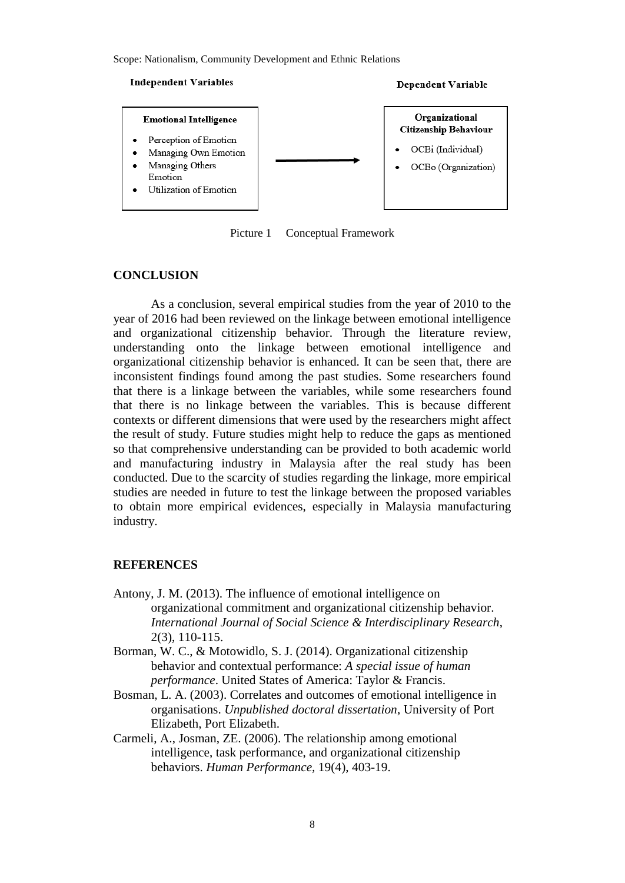#### **Independent Variables**





Picture 1 Conceptual Framework

#### **CONCLUSION**

As a conclusion, several empirical studies from the year of 2010 to the year of 2016 had been reviewed on the linkage between emotional intelligence and organizational citizenship behavior. Through the literature review, understanding onto the linkage between emotional intelligence and organizational citizenship behavior is enhanced. It can be seen that, there are inconsistent findings found among the past studies. Some researchers found that there is a linkage between the variables, while some researchers found that there is no linkage between the variables. This is because different contexts or different dimensions that were used by the researchers might affect the result of study. Future studies might help to reduce the gaps as mentioned so that comprehensive understanding can be provided to both academic world and manufacturing industry in Malaysia after the real study has been conducted. Due to the scarcity of studies regarding the linkage, more empirical studies are needed in future to test the linkage between the proposed variables to obtain more empirical evidences, especially in Malaysia manufacturing industry.

#### **REFERENCES**

- Antony, J. M. (2013). The influence of emotional intelligence on organizational commitment and organizational citizenship behavior. *International Journal of Social Science & Interdisciplinary Research*, 2(3), 110-115.
- Borman, W. C., & Motowidlo, S. J. (2014). Organizational citizenship behavior and contextual performance: *A special issue of human performance*. United States of America: Taylor & Francis.
- Bosman, L. A. (2003). Correlates and outcomes of emotional intelligence in organisations. *Unpublished doctoral dissertation*, University of Port Elizabeth, Port Elizabeth.
- Carmeli, A., Josman, ZE. (2006). The relationship among emotional intelligence, task performance, and organizational citizenship behaviors. *Human Performance,* 19(4), 403-19.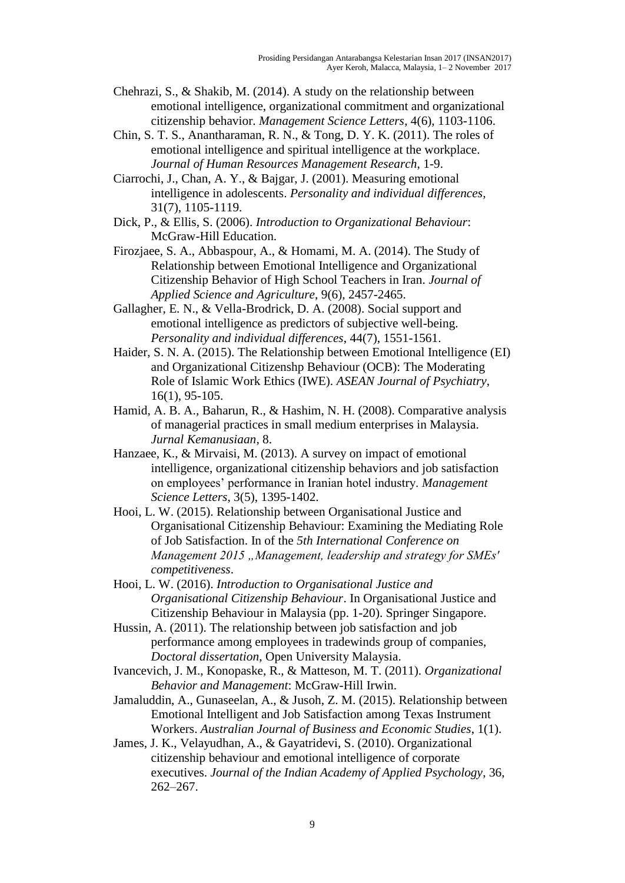- Chehrazi, S., & Shakib, M. (2014). A study on the relationship between emotional intelligence, organizational commitment and organizational citizenship behavior. *Management Science Letters*, 4(6), 1103-1106.
- Chin, S. T. S., Anantharaman, R. N., & Tong, D. Y. K. (2011). The roles of emotional intelligence and spiritual intelligence at the workplace. *Journal of Human Resources Management Research*, 1-9.
- Ciarrochi, J., Chan, A. Y., & Bajgar, J. (2001). Measuring emotional intelligence in adolescents. *Personality and individual differences*, 31(7), 1105-1119.
- Dick, P., & Ellis, S. (2006). *Introduction to Organizational Behaviour*: McGraw-Hill Education.
- Firozjaee, S. A., Abbaspour, A., & Homami, M. A. (2014). The Study of Relationship between Emotional Intelligence and Organizational Citizenship Behavior of High School Teachers in Iran. *Journal of Applied Science and Agriculture*, 9(6), 2457-2465.
- Gallagher, E. N., & Vella-Brodrick, D. A. (2008). Social support and emotional intelligence as predictors of subjective well-being. *Personality and individual differences*, 44(7), 1551-1561.
- Haider, S. N. A. (2015). The Relationship between Emotional Intelligence (EI) and Organizational Citizenshp Behaviour (OCB): The Moderating Role of Islamic Work Ethics (IWE). *ASEAN Journal of Psychiatry*, 16(1), 95-105.
- Hamid, A. B. A., Baharun, R., & Hashim, N. H. (2008). Comparative analysis of managerial practices in small medium enterprises in Malaysia. *Jurnal Kemanusiaan*, 8.
- Hanzaee, K., & Mirvaisi, M. (2013). A survey on impact of emotional intelligence, organizational citizenship behaviors and job satisfaction on employees' performance in Iranian hotel industry. *Management Science Letters*, 3(5), 1395-1402.
- Hooi, L. W. (2015). Relationship between Organisational Justice and Organisational Citizenship Behaviour: Examining the Mediating Role of Job Satisfaction. In of the *5th International Conference on Management 2015 "Management, leadership and strategy for SMEs' competitiveness*.
- Hooi, L. W. (2016). *Introduction to Organisational Justice and Organisational Citizenship Behaviour*. In Organisational Justice and Citizenship Behaviour in Malaysia (pp. 1-20). Springer Singapore.
- Hussin, A. (2011). The relationship between job satisfaction and job performance among employees in tradewinds group of companies, *Doctoral dissertation*, Open University Malaysia.
- Ivancevich, J. M., Konopaske, R., & Matteson, M. T. (2011). *Organizational Behavior and Management*: McGraw-Hill Irwin.
- Jamaluddin, A., Gunaseelan, A., & Jusoh, Z. M. (2015). Relationship between Emotional Intelligent and Job Satisfaction among Texas Instrument Workers. *Australian Journal of Business and Economic Studies*, 1(1).
- James, J. K., Velayudhan, A., & Gayatridevi, S. (2010). Organizational citizenship behaviour and emotional intelligence of corporate executives. *Journal of the Indian Academy of Applied Psychology*, 36, 262–267.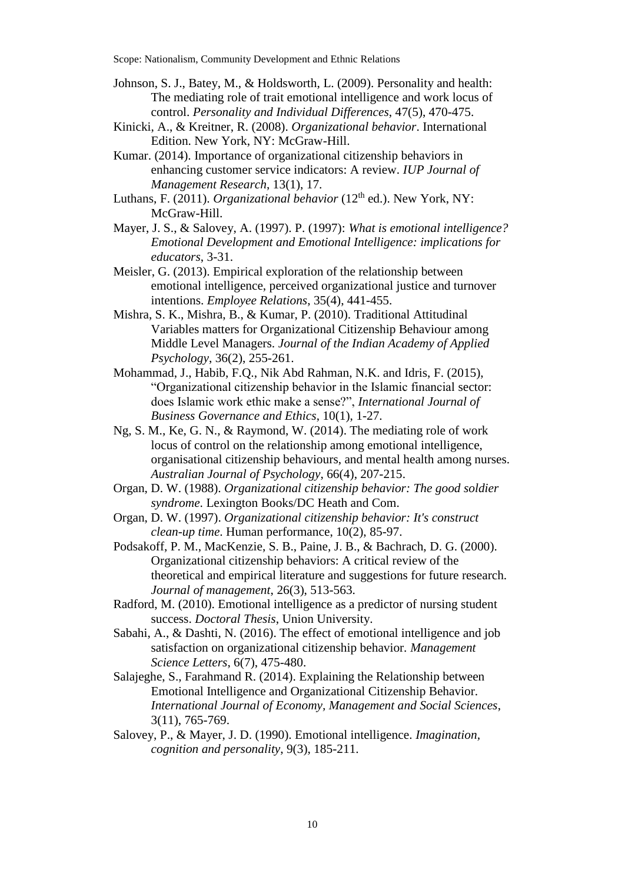- Johnson, S. J., Batey, M., & Holdsworth, L. (2009). Personality and health: The mediating role of trait emotional intelligence and work locus of control. *Personality and Individual Differences*, 47(5), 470-475.
- Kinicki, A., & Kreitner, R. (2008). *Organizational behavior*. International Edition. New York, NY: McGraw-Hill.
- Kumar. (2014). Importance of organizational citizenship behaviors in enhancing customer service indicators: A review. *IUP Journal of Management Research*, 13(1), 17.
- Luthans, F. (2011). *Organizational behavior* (12<sup>th</sup> ed.). New York, NY: McGraw-Hill.
- Mayer, J. S., & Salovey, A. (1997). P. (1997): *What is emotional intelligence? Emotional Development and Emotional Intelligence: implications for educators*, 3-31.
- Meisler, G. (2013). Empirical exploration of the relationship between emotional intelligence, perceived organizational justice and turnover intentions. *Employee Relations*, 35(4), 441-455.
- Mishra, S. K., Mishra, B., & Kumar, P. (2010). Traditional Attitudinal Variables matters for Organizational Citizenship Behaviour among Middle Level Managers. *Journal of the Indian Academy of Applied Psychology*, 36(2), 255-261.
- Mohammad, J., Habib, F.Q., Nik Abd Rahman, N.K. and Idris, F. (2015), "Organizational citizenship behavior in the Islamic financial sector: does Islamic work ethic make a sense?", *International Journal of Business Governance and Ethics*, 10(1), 1-27.
- Ng, S. M., Ke, G. N., & Raymond, W. (2014). The mediating role of work locus of control on the relationship among emotional intelligence, organisational citizenship behaviours, and mental health among nurses. *Australian Journal of Psychology*, 66(4), 207-215.
- Organ, D. W. (1988). *Organizational citizenship behavior: The good soldier syndrome*. Lexington Books/DC Heath and Com.
- Organ, D. W. (1997). *Organizational citizenship behavior: It's construct clean-up time*. Human performance, 10(2), 85-97.
- Podsakoff, P. M., MacKenzie, S. B., Paine, J. B., & Bachrach, D. G. (2000). Organizational citizenship behaviors: A critical review of the theoretical and empirical literature and suggestions for future research. *Journal of management*, 26(3), 513-563.
- Radford, M. (2010). Emotional intelligence as a predictor of nursing student success. *Doctoral Thesis*, Union University.
- Sabahi, A., & Dashti, N. (2016). The effect of emotional intelligence and job satisfaction on organizational citizenship behavior*. Management Science Letters*, 6(7), 475-480.
- Salajeghe, S., Farahmand R. (2014). Explaining the Relationship between Emotional Intelligence and Organizational Citizenship Behavior. *International Journal of Economy, Management and Social Sciences*, 3(11), 765-769.
- Salovey, P., & Mayer, J. D. (1990). Emotional intelligence. *Imagination, cognition and personality*, 9(3), 185-211.